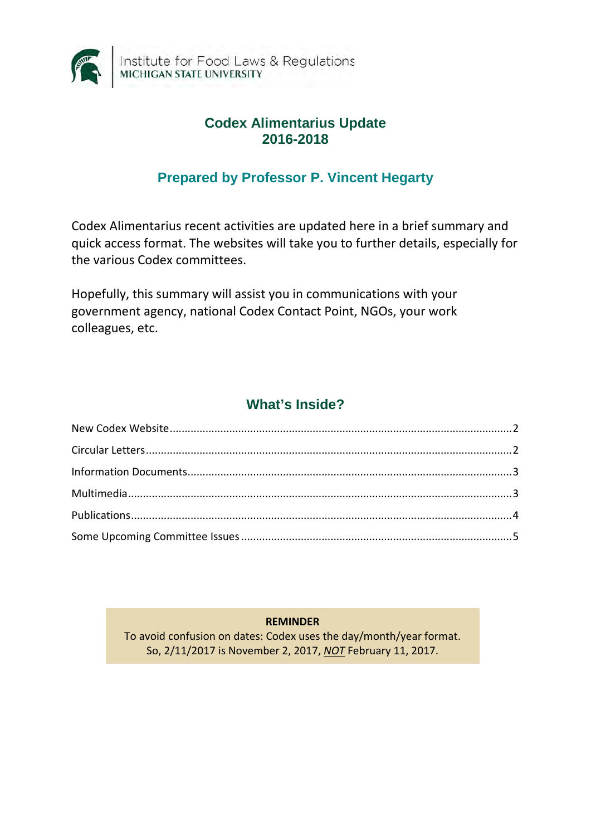

#### **Codex Alimentarius Update 2016-2018**

#### **Prepared by Professor P. Vincent Hegarty**

Codex Alimentarius recent activities are updated here in a brief summary and quick access format. The websites will take you to further details, especially for the various Codex committees.

Hopefully, this summary will assist you in communications with your government agency, national Codex Contact Point, NGOs, your work colleagues, etc.

# **What's Inside?**

**REMINDER**

<span id="page-0-0"></span>To avoid confusion on dates: Codex uses the day/month/year format. So, 2/11/2017 is November 2, 2017, *NOT* February 11, 2017.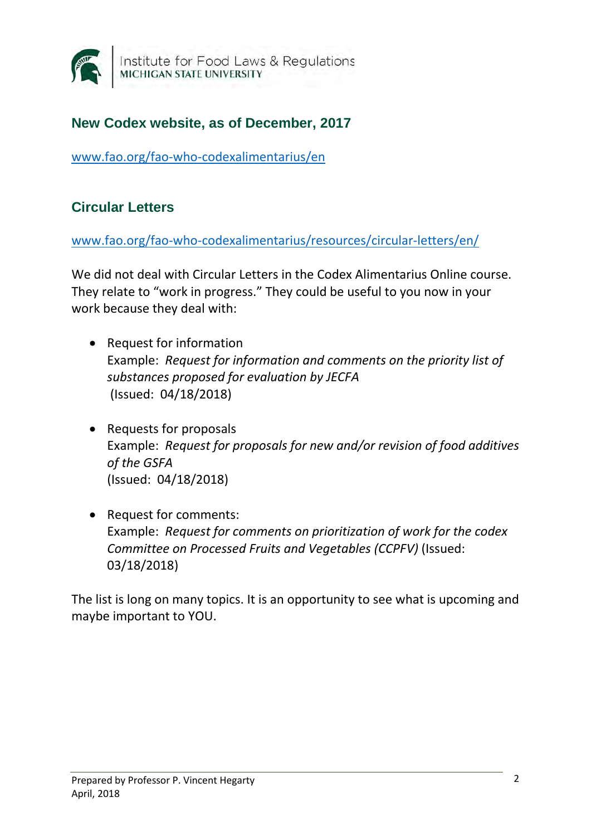

## **New Codex website, as of December, 2017**

[www.fao.org/fao-who-codexalimentarius/en](http://www.fao.org/fao-who-codexalimentarius/en)

## <span id="page-1-0"></span>**Circular Letters**

[www.fao.org/fao-who-codexalimentarius/resources/circular-letters/en/](http://www.fao.org/fao-who-codexalimentarius/resources/circular-letters/en/)

We did not deal with Circular Letters in the Codex Alimentarius Online course. They relate to "work in progress." They could be useful to you now in your work because they deal with:

- Request for information Example: *Request for information and comments on the priority list of substances proposed for evaluation by JECFA* (Issued: 04/18/2018)
- Requests for proposals Example: *Request for proposals for new and/or revision of food additives of the GSFA* (Issued: 04/18/2018)
- Request for comments: Example: *Request for comments on prioritization of work for the codex Committee on Processed Fruits and Vegetables (CCPFV)* (Issued: 03/18/2018)

The list is long on many topics. It is an opportunity to see what is upcoming and maybe important to YOU.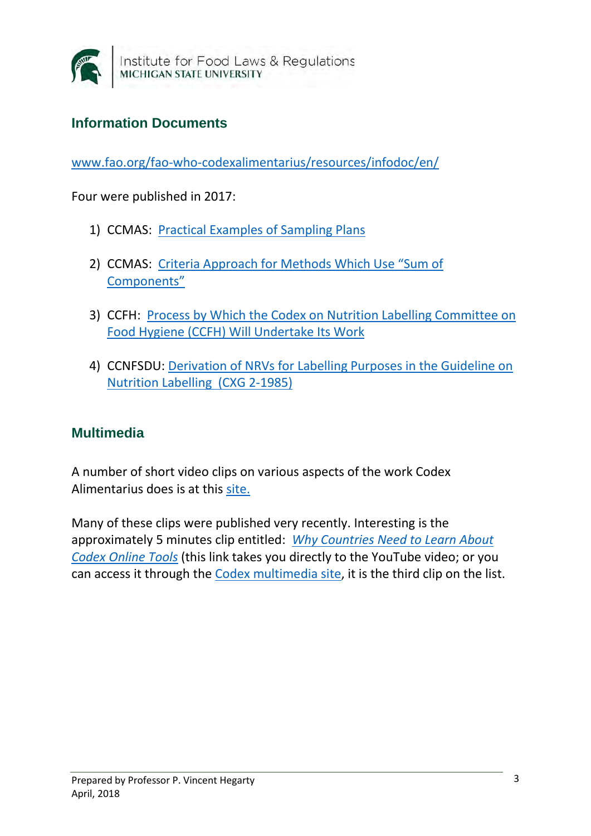

## <span id="page-2-0"></span>**Information Documents**

[www.fao.org/fao-who-codexalimentarius/resources/infodoc/en/](http://www.fao.org/fao-who-codexalimentarius/resources/infodoc/en/)

Four were published in 2017:

- 1) CCMAS: [Practical Examples of Sampling Plans](http://www.fao.org/fileadmin/user_upload/codexalimentarius/committee/docs/INF_CCMAS_ESP_e.pdf)
- 2) CCMAS: [Criteria Approach for Methods Which Use "Sum of](http://www.fao.org/fileadmin/user_upload/codexalimentarius/committee/docs/INF_CCMAS_SOC_e.pdf)  [Components"](http://www.fao.org/fileadmin/user_upload/codexalimentarius/committee/docs/INF_CCMAS_SOC_e.pdf)
- 3) CCFH: [Process by Which the Codex on Nutrition Labelling Committee on](http://www.fao.org/fileadmin/user_upload/codexalimentarius/committee/docs/INF_CCFH_e.pdf)  [Food Hygiene \(CCFH\) Will Undertake Its Work](http://www.fao.org/fileadmin/user_upload/codexalimentarius/committee/docs/INF_CCFH_e.pdf)
- 4) CCNFSDU: [Derivation of NRVs for Labelling Purposes in the Guideline on](http://www.fao.org/fileadmin/user_upload/codexalimentarius/committee/docs/INF_CCNFSDU_e.pdf)  [Nutrition Labelling \(CXG 2-1985\)](http://www.fao.org/fileadmin/user_upload/codexalimentarius/committee/docs/INF_CCNFSDU_e.pdf)

#### <span id="page-2-1"></span>**Multimedia**

A number of short video clips on various aspects of the work Codex Alimentarius does is at this [site.](http://www.fao.org/fao-who-codexalimentarius/resources/multimedia/video-audio/pt)

Many of these clips were published very recently. Interesting is the approximately 5 minutes clip entitled: *[Why Countries Need to Learn About](https://www.youtube.com/watch?v=T4JoRWku43c)  [Codex Online Tools](https://www.youtube.com/watch?v=T4JoRWku43c)* (this link takes you directly to the YouTube video; or you can access it through the [Codex multimedia site,](http://www.fao.org/fao-who-codexalimentarius/resources/multimedia/video-audio/pt) it is the third clip on the list.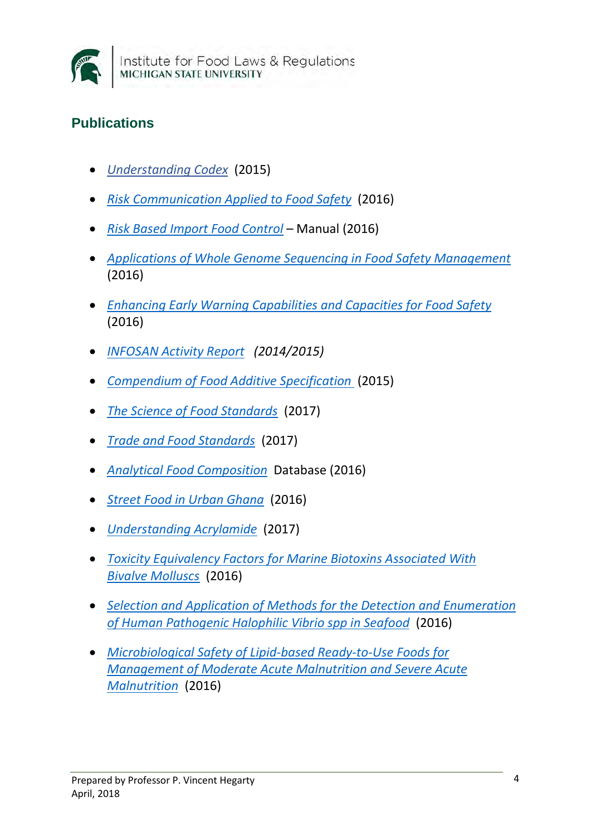

# <span id="page-3-0"></span>**Publications**

- *[Understanding Codex](http://www.fao.org/publications/card/en/c/b347559e-906b-4bff-a575-346d48c0cd12)* (2015[\)](http://www.fao.org/3/a-i5863e.pdf)
- *[Risk Communication Applied to Food Safety](http://www.fao.org/3/a-i5863e.pdf)* (2016)
- *[Risk Based Import Food Control](http://www.fao.org/3/a-i5381e.pdf)* Manual (2016)
- *[Applications of Whole Genome Sequencing in Food Safety Management](http://www.fao.org/3/a-i5619e.pdf)*  (2016)
- *[Enhancing Early Warning Capabilities and Capacities for Food Safety](http://www.fao.org/3/a-i5168e.pdf)*  (2016)
- *[INFOSAN Activity Report](http://www.fao.org/3/a-i5898e.pdf) (2014/2015)*
- *[Compendium of Food Additive Specification](http://www.fao.org/3/a-i5080e.pdf)* (2015)
- *[The Science of Food Standards](http://www.fao.org/3/a-i7521e.pdf)* (2017)
- *[Trade and Food Standards](http://www.fao.org/3/a-i7407e.PDF)* (2017)
- *[Analytical Food Composition](http://www.fao.org/3/a-i5399e.pdf)* Database (2016)
- *[Street Food in Urban Ghana](http://www.fao.org/3/a-i5804e.pdf)* (2016)
- *[Understanding Acrylamide](http://www.fao.org/fao-who-codexalimentarius/news-and-events/news-details/en/c/469042)* (2017)
- *[Toxicity Equivalency Factors for Marine Biotoxins Associated With](http://www.fao.org/3/a-i5970e.pdf)  [Bivalve Molluscs](http://www.fao.org/3/a-i5970e.pdf)* (2016)
- *[Selection and Application of Methods for the Detection and Enumeration](http://www.fao.org/3/a-i5982e.pdf)  [of Human Pathogenic Halophilic Vibrio spp](http://www.fao.org/3/a-i5982e.pdf) in Seafood* (2016)
- *[Microbiological Safety of Lipid-based Ready-to-Use Foods for](http://www.fao.org/3/a-i5347e.pdf)  [Management of Moderate Acute Malnutrition and Severe Acute](http://www.fao.org/3/a-i5347e.pdf)  [Malnutrition](http://www.fao.org/3/a-i5347e.pdf)* (2016)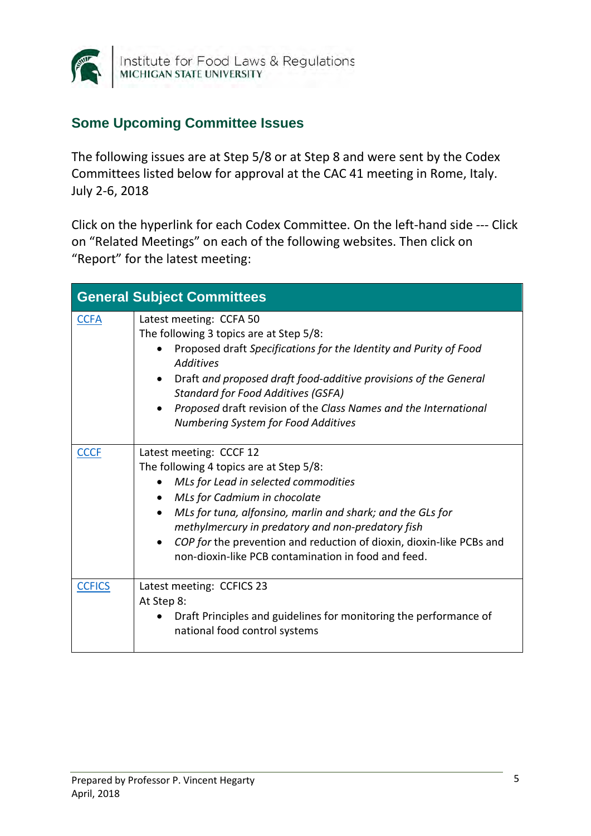

Institute for Food Laws & Regulations<br>MICHIGAN STATE UNIVERSITY

#### <span id="page-4-0"></span>**Some Upcoming Committee Issues**

The following issues are at Step 5/8 or at Step 8 and were sent by the Codex Committees listed below for approval at the CAC 41 meeting in Rome, Italy. July 2-6, 2018

Click on the hyperlink for each Codex Committee. On the left-hand side --- Click on "Related Meetings" on each of the following websites. Then click on "Report" for the latest meeting:

| <b>General Subject Committees</b> |                                                                                                                                                                                                                                                                                                                                                                                                |  |
|-----------------------------------|------------------------------------------------------------------------------------------------------------------------------------------------------------------------------------------------------------------------------------------------------------------------------------------------------------------------------------------------------------------------------------------------|--|
| <b>CCFA</b>                       | Latest meeting: CCFA 50<br>The following 3 topics are at Step 5/8:<br>Proposed draft Specifications for the Identity and Purity of Food<br><b>Additives</b><br>Draft and proposed draft food-additive provisions of the General<br><b>Standard for Food Additives (GSFA)</b><br>Proposed draft revision of the Class Names and the International<br><b>Numbering System for Food Additives</b> |  |
| <b>CCCF</b>                       | Latest meeting: CCCF 12<br>The following 4 topics are at Step 5/8:<br>MLs for Lead in selected commodities<br>MLs for Cadmium in chocolate<br>MLs for tuna, alfonsino, marlin and shark; and the GLs for<br>methylmercury in predatory and non-predatory fish<br>COP for the prevention and reduction of dioxin, dioxin-like PCBs and<br>non-dioxin-like PCB contamination in food and feed.   |  |
| <b>CCFICS</b>                     | Latest meeting: CCFICS 23<br>At Step 8:<br>Draft Principles and guidelines for monitoring the performance of<br>national food control systems                                                                                                                                                                                                                                                  |  |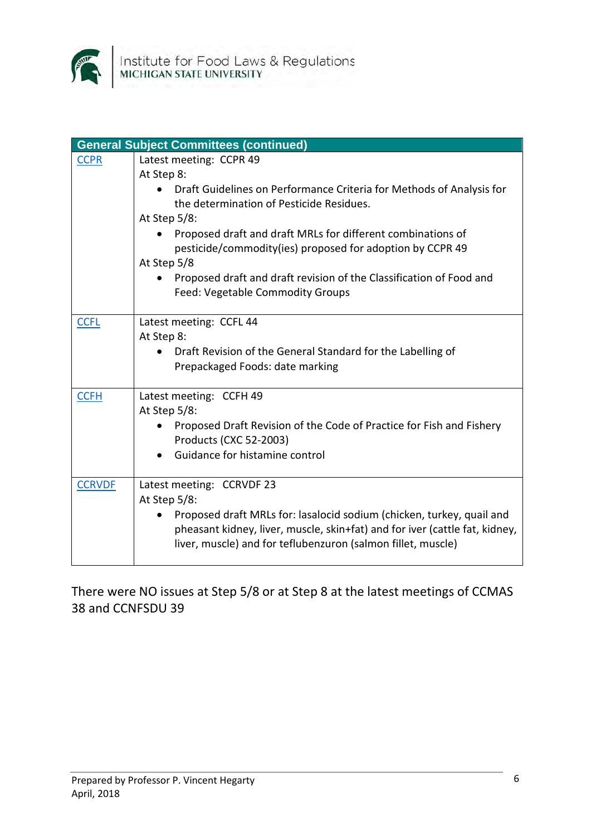

|               | <b>General Subject Committees (continued)</b>                               |
|---------------|-----------------------------------------------------------------------------|
| <b>CCPR</b>   | Latest meeting: CCPR 49                                                     |
|               | At Step 8:                                                                  |
|               | Draft Guidelines on Performance Criteria for Methods of Analysis for        |
|               | the determination of Pesticide Residues.                                    |
|               | At Step $5/8$ :                                                             |
|               | Proposed draft and draft MRLs for different combinations of                 |
|               | pesticide/commodity(ies) proposed for adoption by CCPR 49                   |
|               | At Step 5/8                                                                 |
|               | Proposed draft and draft revision of the Classification of Food and         |
|               | Feed: Vegetable Commodity Groups                                            |
| <b>CCFL</b>   | Latest meeting: CCFL 44                                                     |
|               | At Step 8:                                                                  |
|               | Draft Revision of the General Standard for the Labelling of                 |
|               | Prepackaged Foods: date marking                                             |
|               |                                                                             |
| <b>CCFH</b>   | Latest meeting: CCFH 49                                                     |
|               | At Step 5/8:                                                                |
|               | Proposed Draft Revision of the Code of Practice for Fish and Fishery        |
|               | Products (CXC 52-2003)                                                      |
|               | Guidance for histamine control                                              |
|               |                                                                             |
| <b>CCRVDF</b> | Latest meeting: CCRVDF 23                                                   |
|               | At Step 5/8:                                                                |
|               | Proposed draft MRLs for: lasalocid sodium (chicken, turkey, quail and       |
|               | pheasant kidney, liver, muscle, skin+fat) and for iver (cattle fat, kidney, |
|               | liver, muscle) and for teflubenzuron (salmon fillet, muscle)                |
|               |                                                                             |

There were NO issues at Step 5/8 or at Step 8 at the latest meetings of CCMAS 38 and CCNFSDU 39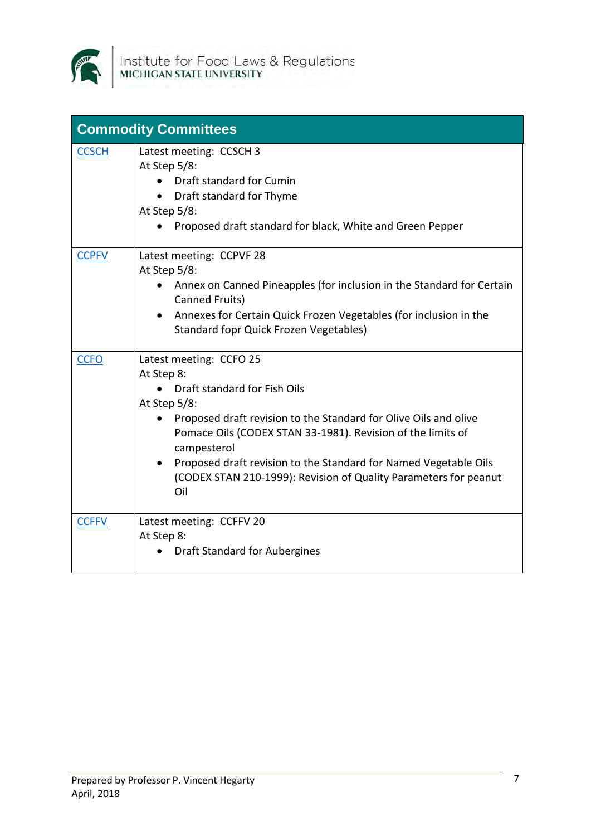

| <b>Commodity Committees</b> |                                                                                                                                                                                                                                                                                                                                                                                                     |  |
|-----------------------------|-----------------------------------------------------------------------------------------------------------------------------------------------------------------------------------------------------------------------------------------------------------------------------------------------------------------------------------------------------------------------------------------------------|--|
| <b>CCSCH</b>                | Latest meeting: CCSCH 3<br>At Step 5/8:<br>Draft standard for Cumin<br>Draft standard for Thyme<br>At Step 5/8:<br>Proposed draft standard for black, White and Green Pepper                                                                                                                                                                                                                        |  |
| <b>CCPFV</b>                | Latest meeting: CCPVF 28<br>At Step 5/8:<br>Annex on Canned Pineapples (for inclusion in the Standard for Certain<br>$\bullet$<br>Canned Fruits)<br>• Annexes for Certain Quick Frozen Vegetables (for inclusion in the<br><b>Standard fopr Quick Frozen Vegetables)</b>                                                                                                                            |  |
| <b>CCFO</b>                 | Latest meeting: CCFO 25<br>At Step 8:<br>Draft standard for Fish Oils<br>At Step 5/8:<br>Proposed draft revision to the Standard for Olive Oils and olive<br>Pomace Oils (CODEX STAN 33-1981). Revision of the limits of<br>campesterol<br>Proposed draft revision to the Standard for Named Vegetable Oils<br>$\bullet$<br>(CODEX STAN 210-1999): Revision of Quality Parameters for peanut<br>Oil |  |
| <b>CCFFV</b>                | Latest meeting: CCFFV 20<br>At Step 8:<br>Draft Standard for Aubergines                                                                                                                                                                                                                                                                                                                             |  |